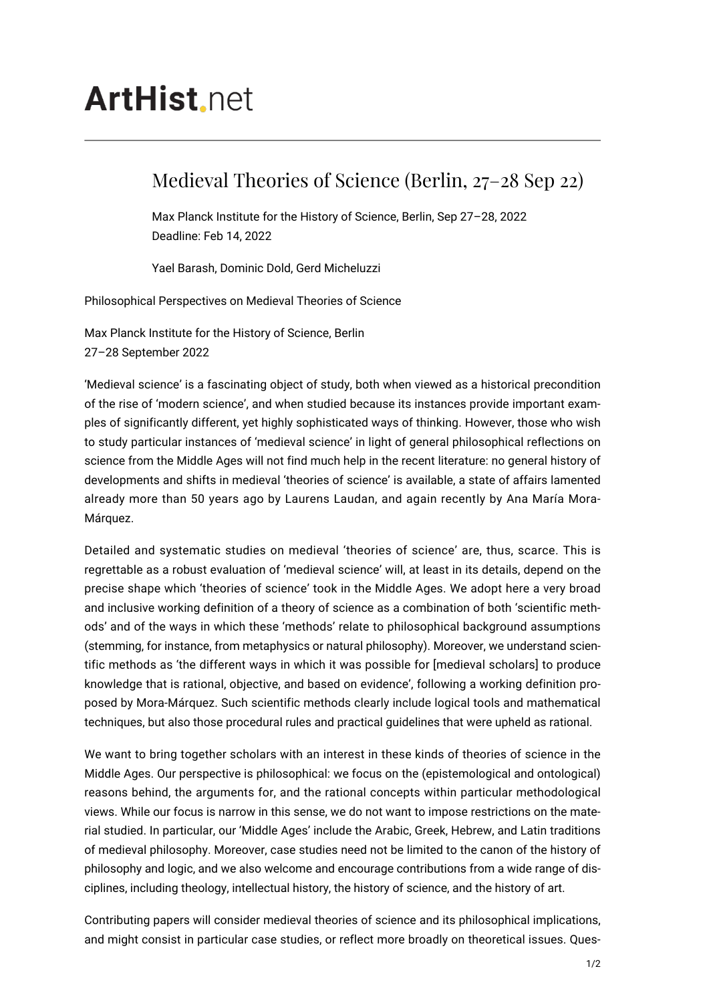# **ArtHist** net

## Medieval Theories of Science (Berlin, 27–28 Sep 22)

Max Planck Institute for the History of Science, Berlin, Sep 27–28, 2022 Deadline: Feb 14, 2022

Yael Barash, Dominic Dold, Gerd Micheluzzi

Philosophical Perspectives on Medieval Theories of Science

Max Planck Institute for the History of Science, Berlin 27–28 September 2022

'Medieval science' is a fascinating object of study, both when viewed as a historical precondition of the rise of 'modern science', and when studied because its instances provide important examples of significantly different, yet highly sophisticated ways of thinking. However, those who wish to study particular instances of 'medieval science' in light of general philosophical reflections on science from the Middle Ages will not find much help in the recent literature: no general history of developments and shifts in medieval 'theories of science' is available, a state of affairs lamented already more than 50 years ago by Laurens Laudan, and again recently by Ana María Mora-Márquez.

Detailed and systematic studies on medieval 'theories of science' are, thus, scarce. This is regrettable as a robust evaluation of 'medieval science' will, at least in its details, depend on the precise shape which 'theories of science' took in the Middle Ages. We adopt here a very broad and inclusive working definition of a theory of science as a combination of both 'scientific methods' and of the ways in which these 'methods' relate to philosophical background assumptions (stemming, for instance, from metaphysics or natural philosophy). Moreover, we understand scientific methods as 'the different ways in which it was possible for [medieval scholars] to produce knowledge that is rational, objective, and based on evidence', following a working definition proposed by Mora-Márquez. Such scientific methods clearly include logical tools and mathematical techniques, but also those procedural rules and practical guidelines that were upheld as rational.

We want to bring together scholars with an interest in these kinds of theories of science in the Middle Ages. Our perspective is philosophical: we focus on the (epistemological and ontological) reasons behind, the arguments for, and the rational concepts within particular methodological views. While our focus is narrow in this sense, we do not want to impose restrictions on the material studied. In particular, our 'Middle Ages' include the Arabic, Greek, Hebrew, and Latin traditions of medieval philosophy. Moreover, case studies need not be limited to the canon of the history of philosophy and logic, and we also welcome and encourage contributions from a wide range of disciplines, including theology, intellectual history, the history of science, and the history of art.

Contributing papers will consider medieval theories of science and its philosophical implications, and might consist in particular case studies, or reflect more broadly on theoretical issues. Ques